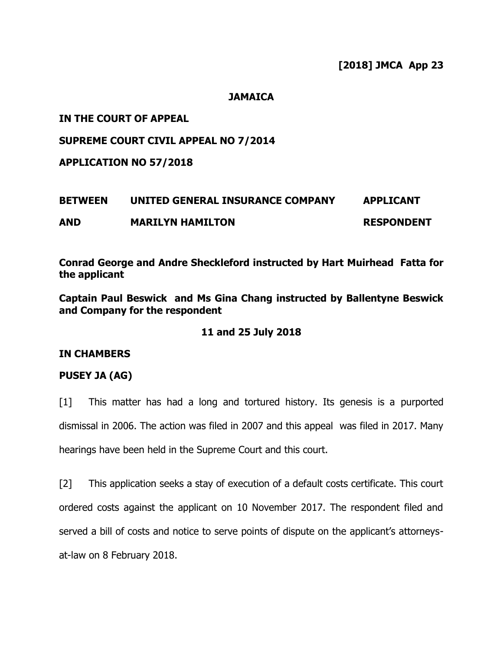#### **JAMAICA**

### **IN THE COURT OF APPEAL**

### **SUPREME COURT CIVIL APPEAL NO 7/2014**

**APPLICATION NO 57/2018**

# **BETWEEN UNITED GENERAL INSURANCE COMPANY APPLICANT AND MARILYN HAMILTON RESPONDENT**

**Conrad George and Andre Sheckleford instructed by Hart Muirhead Fatta for the applicant**

**Captain Paul Beswick and Ms Gina Chang instructed by Ballentyne Beswick and Company for the respondent** 

#### **11 and 25 July 2018**

#### **IN CHAMBERS**

# **PUSEY JA (AG)**

[1] This matter has had a long and tortured history. Its genesis is a purported dismissal in 2006. The action was filed in 2007 and this appeal was filed in 2017. Many hearings have been held in the Supreme Court and this court.

[2] This application seeks a stay of execution of a default costs certificate. This court ordered costs against the applicant on 10 November 2017. The respondent filed and served a bill of costs and notice to serve points of dispute on the applicant's attorneysat-law on 8 February 2018.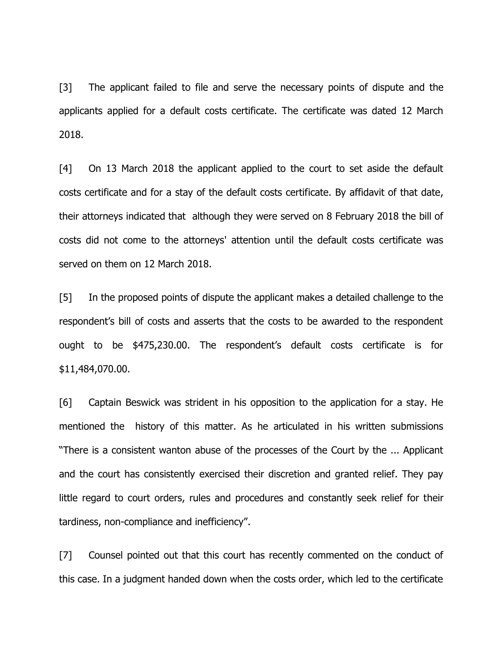[3] The applicant failed to file and serve the necessary points of dispute and the applicants applied for a default costs certificate. The certificate was dated 12 March 2018.

[4] On 13 March 2018 the applicant applied to the court to set aside the default costs certificate and for a stay of the default costs certificate. By affidavit of that date, their attorneys indicated that although they were served on 8 February 2018 the bill of costs did not come to the attorneys' attention until the default costs certificate was served on them on 12 March 2018.

[5] In the proposed points of dispute the applicant makes a detailed challenge to the respondent's bill of costs and asserts that the costs to be awarded to the respondent ought to be \$475,230.00. The respondent's default costs certificate is for \$11,484,070.00.

[6] Captain Beswick was strident in his opposition to the application for a stay. He mentioned the history of this matter. As he articulated in his written submissions "There is a consistent wanton abuse of the processes of the Court by the ... Applicant and the court has consistently exercised their discretion and granted relief. They pay little regard to court orders, rules and procedures and constantly seek relief for their tardiness, non-compliance and inefficiency".

[7] Counsel pointed out that this court has recently commented on the conduct of this case. In a judgment handed down when the costs order, which led to the certificate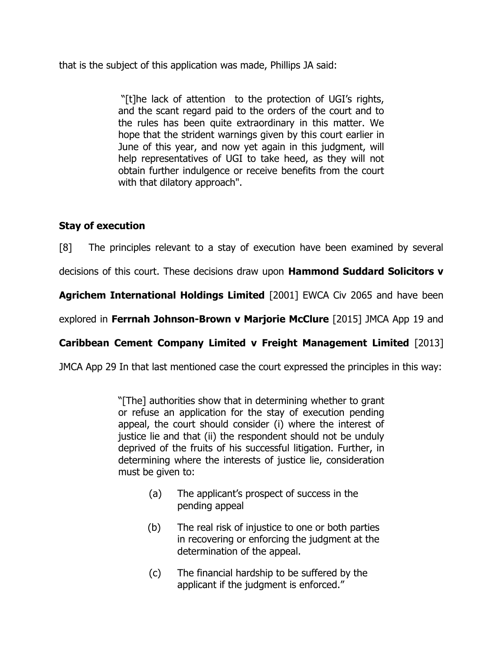that is the subject of this application was made, Phillips JA said:

"[t]he lack of attention to the protection of UGI's rights, and the scant regard paid to the orders of the court and to the rules has been quite extraordinary in this matter. We hope that the strident warnings given by this court earlier in June of this year, and now yet again in this judgment, will help representatives of UGI to take heed, as they will not obtain further indulgence or receive benefits from the court with that dilatory approach".

# **Stay of execution**

[8] The principles relevant to a stay of execution have been examined by several

decisions of this court. These decisions draw upon **Hammond Suddard Solicitors v** 

**Agrichem International Holdings Limited** [2001] EWCA Civ 2065 and have been

explored in **Ferrnah Johnson-Brown v Marjorie McClure** [2015] JMCA App 19 and

# **Caribbean Cement Company Limited v Freight Management Limited** [2013]

JMCA App 29 In that last mentioned case the court expressed the principles in this way:

"[The] authorities show that in determining whether to grant or refuse an application for the stay of execution pending appeal, the court should consider (i) where the interest of justice lie and that (ii) the respondent should not be unduly deprived of the fruits of his successful litigation. Further, in determining where the interests of justice lie, consideration must be given to:

- (a) The applicant's prospect of success in the pending appeal
- (b) The real risk of injustice to one or both parties in recovering or enforcing the judgment at the determination of the appeal.
- (c) The financial hardship to be suffered by the applicant if the judgment is enforced."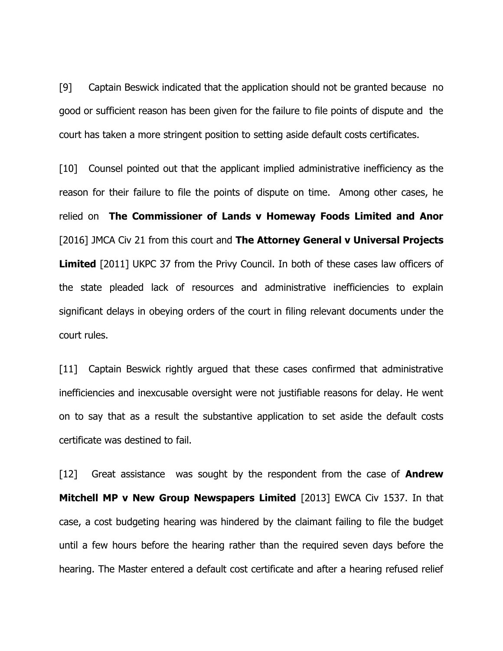[9] Captain Beswick indicated that the application should not be granted because no good or sufficient reason has been given for the failure to file points of dispute and the court has taken a more stringent position to setting aside default costs certificates.

[10] Counsel pointed out that the applicant implied administrative inefficiency as the reason for their failure to file the points of dispute on time. Among other cases, he relied on **The Commissioner of Lands v Homeway Foods Limited and Anor** [2016] JMCA Civ 21 from this court and **The Attorney General v Universal Projects Limited** [2011] UKPC 37 from the Privy Council. In both of these cases law officers of the state pleaded lack of resources and administrative inefficiencies to explain significant delays in obeying orders of the court in filing relevant documents under the court rules.

[11] Captain Beswick rightly argued that these cases confirmed that administrative inefficiencies and inexcusable oversight were not justifiable reasons for delay. He went on to say that as a result the substantive application to set aside the default costs certificate was destined to fail.

[12] Great assistance was sought by the respondent from the case of **Andrew Mitchell MP v New Group Newspapers Limited** [2013] EWCA Civ 1537. In that case, a cost budgeting hearing was hindered by the claimant failing to file the budget until a few hours before the hearing rather than the required seven days before the hearing. The Master entered a default cost certificate and after a hearing refused relief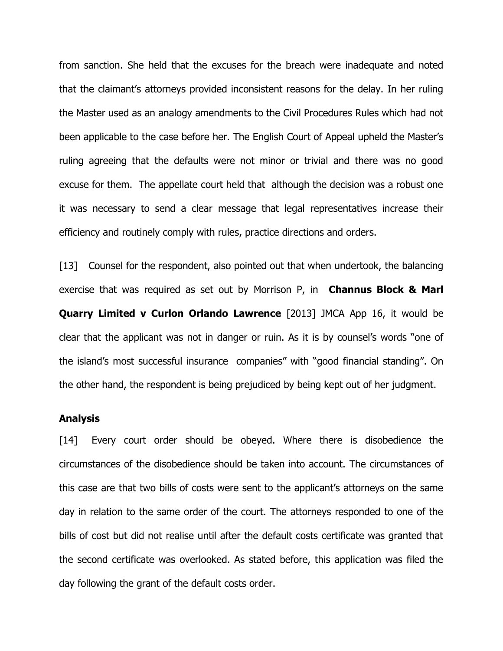from sanction. She held that the excuses for the breach were inadequate and noted that the claimant's attorneys provided inconsistent reasons for the delay. In her ruling the Master used as an analogy amendments to the Civil Procedures Rules which had not been applicable to the case before her. The English Court of Appeal upheld the Master's ruling agreeing that the defaults were not minor or trivial and there was no good excuse for them. The appellate court held that although the decision was a robust one it was necessary to send a clear message that legal representatives increase their efficiency and routinely comply with rules, practice directions and orders.

[13] Counsel for the respondent, also pointed out that when undertook, the balancing exercise that was required as set out by Morrison P, in **Channus Block & Marl Quarry Limited v Curlon Orlando Lawrence** [2013] JMCA App 16, it would be clear that the applicant was not in danger or ruin. As it is by counsel's words "one of the island's most successful insurance companies" with "good financial standing". On the other hand, the respondent is being prejudiced by being kept out of her judgment.

#### **Analysis**

[14] Every court order should be obeyed. Where there is disobedience the circumstances of the disobedience should be taken into account. The circumstances of this case are that two bills of costs were sent to the applicant's attorneys on the same day in relation to the same order of the court. The attorneys responded to one of the bills of cost but did not realise until after the default costs certificate was granted that the second certificate was overlooked. As stated before, this application was filed the day following the grant of the default costs order.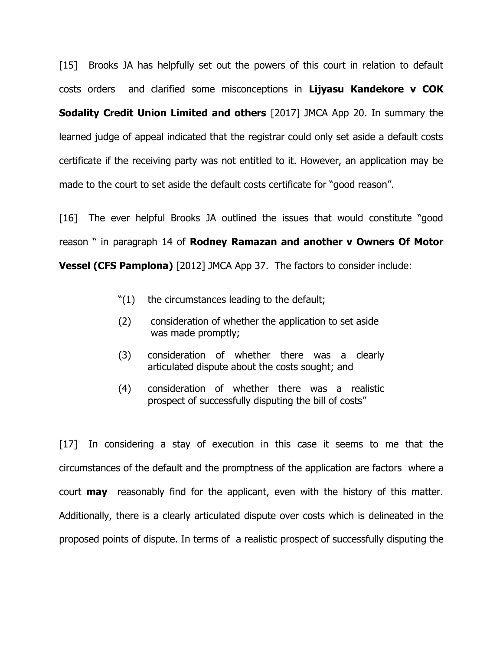[15] Brooks JA has helpfully set out the powers of this court in relation to default costs orders and clarified some misconceptions in **Lijyasu Kandekore v COK** 

**Sodality Credit Union Limited and others** [2017] JMCA App 20. In summary the learned judge of appeal indicated that the registrar could only set aside a default costs certificate if the receiving party was not entitled to it. However, an application may be made to the court to set aside the default costs certificate for "good reason".

[16] The ever helpful Brooks JA outlined the issues that would constitute "good reason " in paragraph 14 of **Rodney Ramazan and another v Owners Of Motor Vessel (CFS Pamplona)** [2012] JMCA App 37. The factors to consider include:

- "(1) the circumstances leading to the default;
- (2) consideration of whether the application to set aside was made promptly;
- (3) consideration of whether there was a clearly articulated dispute about the costs sought; and
- (4) consideration of whether there was a realistic prospect of successfully disputing the bill of costs"

[17] In considering a stay of execution in this case it seems to me that the circumstances of the default and the promptness of the application are factors where a court **may** reasonably find for the applicant, even with the history of this matter. Additionally, there is a clearly articulated dispute over costs which is delineated in the proposed points of dispute. In terms of a realistic prospect of successfully disputing the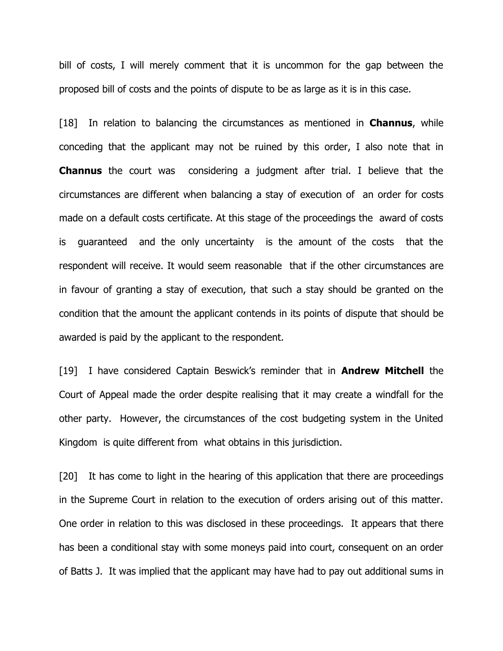bill of costs, I will merely comment that it is uncommon for the gap between the proposed bill of costs and the points of dispute to be as large as it is in this case.

[18] In relation to balancing the circumstances as mentioned in **Channus**, while conceding that the applicant may not be ruined by this order, I also note that in **Channus** the court was considering a judgment after trial. I believe that the circumstances are different when balancing a stay of execution of an order for costs made on a default costs certificate. At this stage of the proceedings the award of costs is guaranteed and the only uncertainty is the amount of the costs that the respondent will receive. It would seem reasonable that if the other circumstances are in favour of granting a stay of execution, that such a stay should be granted on the condition that the amount the applicant contends in its points of dispute that should be awarded is paid by the applicant to the respondent.

[19] I have considered Captain Beswick's reminder that in **Andrew Mitchell** the Court of Appeal made the order despite realising that it may create a windfall for the other party. However, the circumstances of the cost budgeting system in the United Kingdom is quite different from what obtains in this jurisdiction.

[20] It has come to light in the hearing of this application that there are proceedings in the Supreme Court in relation to the execution of orders arising out of this matter. One order in relation to this was disclosed in these proceedings. It appears that there has been a conditional stay with some moneys paid into court, consequent on an order of Batts J. It was implied that the applicant may have had to pay out additional sums in